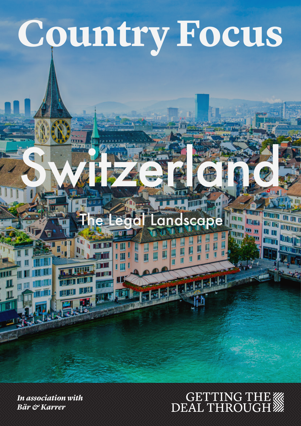# **Country Focus**

Switzerland

i ili

*In association with Bär & Karrer*

# GETTING THE WARDEAL THROUGH

SCODE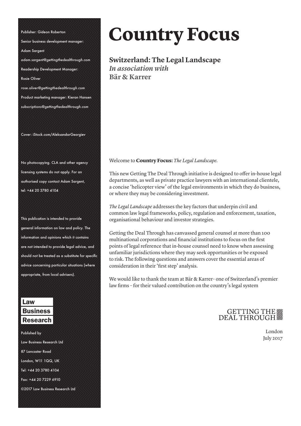Senior business development manager: Adam Sargent *adam.sargent@gettingthedealthrough.com* Readership Development Manager: Rosie Oliver *rose.oliver@gettingthedealthrough.com* Product marketing manager: Kieran Hansen *subscriptions@gettingthedealthrough.com*

Publisher: Gideon Roberton

Cover: iStock.com/AleksandarGeorgiev

No photocopying. CLA and other agency licensing systems do not apply. For an authorised copy contact Adam Sargent, tel: +44 20 3780 4104

This publication is intended to provide general information on law and policy. The information and opinions which it contains are not intended to provide legal advice, and should not be treated as a substitute for specific advice concerning particular situations (where appropriate, from local advisers).

#### Law **Business** Research

Published by Law Business Research Ltd 87 Lancaster Road London, W11 1QQ, UK Tel: +44 20 3780 4104 Fax: +44 20 7229 6910 ©2017 Law Business Research Ltd

# **Country Focus**

**Switzerland: The Legal Landscape**  *In association with* **Bär & Karrer Switzerland: The Legal Landscape**<br>*In association with* 

Welcome to **Country Focus:** *The Legal Landscape.*

This new Getting The Deal Through initiative is designed to offer in-house legal departments, as well as private practice lawyers with an international clientele, a concise 'helicopter view' of the legal environments in which they do business, or where they may be considering investment.

*The Legal Landscape* addresses the key factors that underpin civil and common law legal frameworks, policy, regulation and enforcement, taxation, organisational behaviour and investor strategies.

Getting the Deal Through has canvassed general counsel at more than 100 multinational corporations and financial institutions to focus on the first points of legal reference that in-house counsel need to know when assessing unfamiliar jurisdictions where they may seek opportunities or be exposed to risk. The following questions and answers cover the essential areas of consideration in their 'first step' analysis.

We would like to thank the team at Bär & Karrer– one of Switzerland's premier law firms – for their valued contribution on the country's legal system

### GETTING THE

London July 2017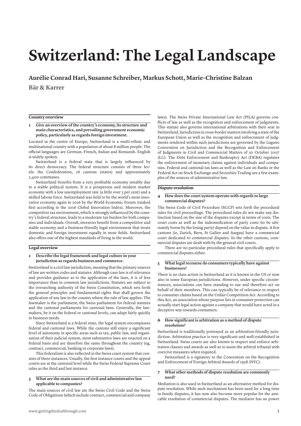## **Switzerland: The Legal Landscape**

**Aurélie Conrad Hari, Susanne Schreiber, Markus Schott, Marie-Christine Balzan Bär & Karrer**

#### **Country overview**

#### **1 Give an overview of the country's economy, its structure and main characteristics, and prevailing government economic policy, particularly as regards foreign investment.**

Located in the centre of Europe, Switzerland is a multi-ethnic and multinational country with a population of about 8 million people. The official languages are German, French, Italian and Romansh. English is widely spoken.

Switzerland is a federal state that is largely influenced by its direct democracy. The federal structure consists of three levels: the Confederation, 26 cantons (states) and approximately 2,400 communes.

Switzerland benefits from a very profitable economy notably due to a stable political system. It is a prosperous and modern market economy with a low unemployment rate (a little over 3 per cent) and a skilled labour force. Switzerland was held to be the world's most innovative economy again in 2016 by the World Economic Forum (ranked first according to the 2016 Global Innovation Index). Moreover, the competitive tax environment, which is strongly influenced by the country's federal structure, leads to a moderate tax burden for both companies and individuals. Overall, investors benefit from a competitive and stable economy and a business-friendly legal environment that treats domestic and foreign investment equally in most fields. Switzerland also offers one of the highest standards of living in the world.

#### **Legal overview**

#### **2 Describe the legal framework and legal culture in your jurisdiction as regards business and commerce.**

Switzerland is a civil law jurisdiction, meaning that the primary sources of law are written codes and statutes. Although case law is of relevance and provides guidance as to the application of the laws, it is of less importance than in common law jurisdictions. Statutes are subject to the overarching authority of the Swiss Constitution, which sets forth the general principles and fundamental rights that shall govern the application of any law in the country where the rule of law applies. The lawmaker is the parliament; the Swiss parliament for federal statutes and the cantonal parliaments for cantonal laws. Generally, the lawmakers, be it on the federal or cantonal levels, can adapt fairly quickly to business needs.

Since Switzerland is a federal state, the legal system encompasses federal and cantonal laws. While the cantons still enjoy a significant level of autonomy in specific areas such as tax, public law, and organization of their judicial system, most substantive laws are enacted on a federal basis and are therefore the same throughout the country (eg, contract, commercial, banking or corporate laws).

This federalism is also reflected in the Swiss court system that consists of three instances. Usually, the first instance courts and the appeal courts are at the cantonal level while the Swiss Federal Supreme Court rules as the third and last instance.

#### **3 What are the main sources of civil and administrative law applicable to companies?**

The main sources of civil law are the Swiss Civil Code and the Swiss Code of Obligations (which include contract, commercial and company laws). The Swiss Private International Law Act (PILA) governs conflicts of law as well as the recognition and enforcement of judgments. This statute also governs international arbitrations with their seat in Switzerland. Jurisdiction in cross-border matters involving a state of the European Union as well as the recognition and enforcement of judgments rendered within such jurisdictions are governed by the Lugano Convention on Jurisdiction and the Recognition and Enforcement of Judgments in Civil and Commercial Matters of 30 October 2007 (LC). The Debt Enforcement and Bankruptcy Act (DEBA) regulates the enforcement of monetary claims against individuals and companies. Federal and cantonal tax laws as well as the Law on Banks or the Federal Act on Stock Exchange and Securities Trading are a few examples of the sources of administrative law.

#### **Dispute resolution**

#### **4 How does the court system operate with regards to large commercial disputes?**

The Swiss Code of Civil Procedure (SCCP) sets forth the procedural rules for civil proceedings. The procedural rules do not make any distinction based on the size of the disputes except in terms of costs. The court costs as well as the indemnification of party costs (to be ultimately borne by the losing party) depend on the value in dispute. A few cantons (ie, Zurich, Bern, St Gallen and Aargau) have a commercial court dedicated to commercial disputes. In the other cantons, commercial disputes are dealt with by the general civil courts.

There are no particular procedural rules that specifically apply to commercial disputes either.

#### **5 What legal recourse do consumers typically have against businesses?**

There is no class action in Switzerland as it is known in the US or now also in some European jurisdictions. However, under specific circumstances, associations can have standing to sue and therefore act on behalf of their members. This can typically be of relevance in respect to consumer claims based on the Unfair Competition Act. According to this Act, an association whose purpose lies in consumer protection can actually start legal action against a company that would have acted in a deceptive way towards consumers.

#### **6 How significant is arbitration as a method of dispute resolution?**

Switzerland is traditionally portrayed as an arbitration-friendly jurisdiction. Arbitration practice is very significant and well-established in Switzerland. Swiss courts are also known to respect and enforce arbitration clauses and awards as well as to assist the arbitral tribunal with coercive measures when required.

Switzerland is a signatory to the Convention on the Recognition and Enforcement of Foreign Arbitral Awards of 1958 (NYC).

#### **7 What other methods of dispute resolution are commonly used?**

Mediation is also used in Switzerland as an alternative method for dispute resolution. While such mechanism has been used for a long time in family disputes, it has now also become more popular for the amicable resolution of commercial disputes. The mediator has no power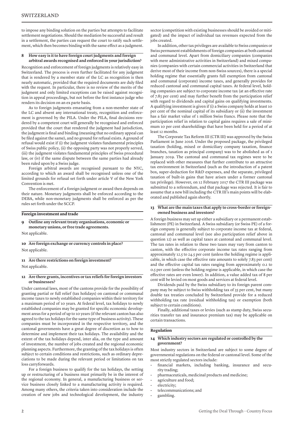to impose any binding solution on the parties but attempts to facilitate settlement negotiations. Should the mediation be successful and result in a settlement, the parties can request the court to ratify such settlement, which then becomes binding with the same effect as a judgment.

#### **8 How easy is it to have foreign court judgments and foreign arbitral awards recognised and enforced in your jurisdiction?**

Recognition and enforcement of foreign judgments is relatively easy in Switzerland. The process is even further facilitated for any judgment that is rendered by a member state of the LC as recognition is then nearly automatic, provided that the required documents are duly filed with the request. In particular, there is no review of the merits of the judgment and only limited exceptions can be raised against recognition in appeal proceedings, but not before the first instance judge who renders its decision on an ex parte basis.

As to foreign judgments emanating from a non-member state of the LC and absent any international treaty, recognition and enforcement is governed by the PILA. Under the PILA, final decisions rendered by a competent court will generally be recognised and enforced provided that the court that rendered the judgment had jurisdiction, the judgment is final and binding (meaning that no ordinary appeal can be filed against the same), and no ground for refusal exists. A ground of refusal would exist if (i) the judgment violates fundamental principles of Swiss public policy, (ii) the opposing party was not properly served, (iii) the judgment violates fundamental principles of Swiss procedural law, or (iv) if the same dispute between the same parties had already been ruled upon by a Swiss judge.

Foreign arbitral awards are recognised pursuant to the NYC, according to which an award shall be recognised unless one of the limited grounds for refusal set forth under article V of the New York Convention is met.

The enforcement of a foreign judgment or award then depends on their nature. Monetary judgments shall be enforced according to the DEBA, while non-monetary judgments shall be enforced as per the rules set forth under the SCCP.

**Foreign investment and trade**

**9 Outline any relevant treaty organisations, economic or monetary unions, or free trade agreements.**

Not applicable.

**10 Are foreign exchange or currency controls in place?** Not applicable.

#### **11 Are there restrictions on foreign investment?**

Not applicable.

#### **12 Are there grants, incentives or tax reliefs for foreign investors or businesses?**

Under cantonal laws, most of the cantons provide for the possibility of granting partial or full relief (tax holidays) on cantonal or communal income taxes to newly established companies within their territory for a maximum period of 10 years. At federal level, tax holidays to newly established companies may be granted for specific economic development areas for a period of up to 10 years (if the relevant canton has also agreed to the tax holidays for the same type of business activity). These companies must be incorporated in the respective territory, and the cantonal governments have a great degree of discretion as to how to determine and implement their tax holidays. The availability and the extent of the tax holidays depend, inter alia, on the type and amount of investment, the number of jobs created and the regional economic planning aspects. Furthermore, the granting of the tax holidays is often subject to certain conditions and restrictions, such as ordinary depreciations to be made during the relevant period or limitations on tax loss carryforwards.

For a foreign business to qualify for the tax holidays, the setting up or restructuring of a business must primarily be in the interest of the regional economy. In general, a manufacturing business or service business closely linked to a manufacturing activity is required. Among many others, the criteria taken into consideration include the creation of new jobs and technological development, the industry

sector (competition with existing businesses should be avoided or mitigated) and the impact of individual tax revenues expected from the jobs created.

In addition, other tax privileges are available to Swiss companies or Swiss permanent establishments of foreign companies at both cantonal and communal level. Apart from domiciliary companies (companies with mere administrative activities in Switzerland) and mixed companies (companies with certain commercial activities in Switzerland that derive most of their income from non-Swiss sources), there is a special holding regime that essentially grants full exemption from cantonal and communal (corporate) income taxes, and generally provides for reduced cantonal and communal capital taxes. At federal level, holding companies are subject to corporate income tax (at an effective rate of 7.83 per cent) and may further benefit from the participation relief with regard to dividends and capital gains on qualifying investments. A qualifying investment is given if (i) a Swiss company holds at least 10 per cent of the nominal capital of its subsidiary or (ii) the investment has a fair market value of 1 million Swiss francs. Please note that the participation relief in relation to capital gains requires a sale of minimum 10 per cent shareholdings that have been held for a period of at least 12 months.

The Corporate Tax Reform III (CTR III) was approved by the Swiss Parliament in June 2016. Under the proposed package, the privileged taxation (holding, mixed or domiciliary company taxation, finance branches, taxation as principal company) was to be abolished as of 1 January 2019. The cantonal and communal tax regimes were to be replaced with other measures that further contribute to an attractive tax environment in Switzerland (such as the introduction of a patent box, super-deduction for R&D expenses, and the separate, privileged taxation of built-in gains that have arisen under a former cantonal tax privilege). However, on 12 February 2017 the CTR III package was submitted to a referendum, and that package was rejected. It is fair to assume that a new bill including the CTR III's main points will be elaborated and published again shortly.

#### **13 What are the main taxes that apply to cross-border or foreignowned business and investors?**

A foreign business may set up either a subsidiary or a permanent establishment (PE) in Switzerland. A Swiss subsidiary (or Swiss PE) of a foreign company is generally subject to corporate income tax at federal, cantonal and communal level (see also participation relief above in question 12) as well as capital taxes at cantonal and communal level. The tax rates in relation to these two taxes may vary from canton to canton, with the effective corporate income tax rates ranging from approximately 12.5 to 24.5 per cent (unless the holding regime is applicable, in which case the effective rate amounts to solely 7.83 per cent) and the effective capital tax rates ranging from approximately 0.1 to 0.5 per cent (unless the holding regime is applicable, in which case the effective rates are even lower). In addition, a value added tax of 8 per cent will be levied on most goods and services at federal level.

Dividends paid by the Swiss subsidiary to its foreign parent company may be subject to Swiss withholding tax of 35 per cent, but many double tax treaties concluded by Switzerland provide for a reduced withholding tax rate (residual withholding tax) or exemption (both subject to certain conditions).

Finally, additional taxes or levies (such as stamp duty, Swiss securities transfer tax and insurance premium tax) may be applicable on certain transactions.

#### **Regulation**

#### **14 Which industry sectors are regulated or controlled by the government?**

Most industry sectors in Switzerland are subject to some degree of governmental regulations on the federal or cantonal level. Some of the most strictly regulated sectors include:

- financial markets, including banking, insurance and security trading;
- pharmaceuticals, medicinal products and medicine;
- agriculture and food;
- electricity;
- telecommunications; and
- gambling.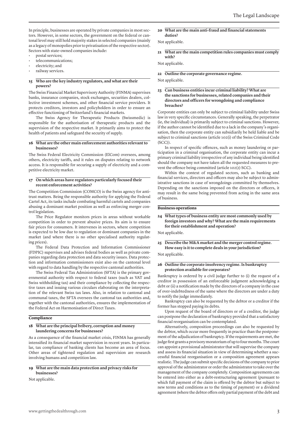In principle, businesses are operated by private companies in most sectors. However, in some sectors, the government on the federal or cantonal level may still hold majority stakes in selected companies (mainly as a legacy of monopolies prior to privatisation of the respective sector). Sectors with state-owned companies include:

- postal services;
- telecommunications;
- electricity; and
- railway services.

#### **15 Who are the key industry regulators, and what are their powers?**

The Swiss Financial Market Supervisory Authority (FINMA) supervises banks, insurance companies, stock exchanges, securities dealers, collective investment schemes, and other financial service providers. It protects creditors, investors and policyholders in order to ensure an effective functioning of Switzerland's financial markets.

The Swiss Agency for Therapeutic Products (Swissmedic) is responsible for the authorisation of therapeutic products and the supervision of the respective market. It primarily aims to protect the health of patients and safeguard the security of supply.

#### **16 What are the other main enforcement authorities relevant to businesses?**

The Swiss Federal Electricity Commission (ElCom) oversees, among others, electricity tariffs, and it rules on disputes relating to network access. It is responsible for securing a supply of electricity and a competitive electricity market.

#### **17 On which areas have regulators particularly focused their recent enforcement activities?**

The Competition Commission (COMCO) is the Swiss agency for antitrust matters. Being the responsible authority for applying the Federal Cartel Act, its tasks include combating harmful cartels and companies abusing a dominant market position as well as enforcing merger control legislation.

The Price Regulator monitors prices in areas without workable competition in order to prevent abusive prices. Its aim is to ensure fair prices for consumers. It intervenes in sectors, where competition is expected to be low due to regulation or dominant companies in the market (and where there is no other specialised authority regulating prices).

The Federal Data Protection and Information Commissioner (FDPIC) supervises and advises federal bodies as well as private companies regarding data protection and data security issues. Data protection and information commissioners exist also on the cantonal level with regard to data handling by the respective cantonal authorities.

The Swiss Federal Tax Administration (SFTA) is the primary governmental authority with respect to federal taxes (such as VAT and Swiss withholding tax) and their compliance by collecting the respective taxes and issuing various circulars elaborating on the interpretation of the relevant Swiss tax laws. Also, in relation to cantonal and communal taxes, the SFTA oversees the cantonal tax authorities and, together with the cantonal authorities, ensures the implementation of the Federal Act on Harmonisation of Direct Taxes.

#### **Compliance**

#### **18 What are the principal bribery, corruption and money laundering concerns for businesses?**

As a consequence of the financial market crisis, FINMA has generally intensified its financial market supervision in recent years. In particular, tax compliance of banking clients has become an area of focus. Other areas of tightened regulation and supervision are research involving humans and competition law.

#### **19 What are the main data protection and privacy risks for businesses?**

Not applicable.

#### **20 What are the main anti-fraud and financial statements duties?**

#### Not applicable.

**21 What are the main competition rules companies must comply with?**

Not applicable.

**22 Outline the corporate governance regime.**

Not applicable.

#### **23 Can business entities incur criminal liability? What are the sanctions for businesses, related companies and their directors and officers for wrongdoing and compliance breaches?**

Corporate entities can only be subject to criminal liability under Swiss law in very specific circumstances. Generally speaking, the perpetrator (ie, the individual) is primarily subject to criminal sanctions. However, if the author cannot be identified due to a lack in the company's organisation, then the corporate entity can subsidiarily be held liable and be subject to criminal sanctions (article 102(i) of the Swiss Criminal Code  $(SCC)$ ).

In respect of specific offences, such as money laundering or participation in a criminal organisation, the corporate entity can incur a primary criminal liability irrespective of any individual being identified should the company not have taken all the requested measures to prevent the offence being committed (article 102(2) SCC).

Within the context of regulated sectors, such as banking and financial services, directors and officers may also be subject to administrative sanctions in case of wrongdoings committed by themselves. Depending on the sanctions imposed on the directors or officers, it may result in the same being prevented from acting in the same area of business.

#### **Business operations**

#### **24 What types of business entity are most commonly used by foreign investors and why? What are the main requirements for their establishment and operation?**

Not applicable.

#### **25 Describe the M&A market and the merger control regime. How easy is it to complete deals in your jurisdiction?**

Not applicable.

#### **26 Outline the corporate insolvency regime. Is bankruptcy protection available for corporates?**

Bankruptcy is ordered by a civil judge further to (i) the request of a creditor in possession of an enforceable judgment acknowledging a debt or (ii) a notification made by the directors of a company in the case of over-indebtedness of the same where the directors are under a duty to notify the judge immediately.

Bankruptcy can also be requested by the debtor or a creditor if the former has stopped paying its debts.

Upon request of the board of directors or of a creditor, the judge can postpone the declaration of bankruptcy provided that a satisfactory financial reorganisation can be contemplated.

Alternatively, composition proceedings can also be requested by the debtor, which occur more frequently in practice than the postponement of the adjudication of bankruptcy. If the requirements are met, the judge first grants a provisory moratorium of up to four months. The court can appoint a provisional administrator that will supervise the company and assess its financial situation in view of determining whether a successful financial reorganisation or a composition agreement appears realistic. The judge can submit specific decisions of the company to prior approval of the administrator or order the administrator to take over the management of the company completely. Composition agreements can be entered into either as a debt-restructuring agreement (pursuant to which full payment of the claim is offered by the debtor but subject to new terms and conditions as to the timing of payment) or a dividend agreement (where the debtor offers only partial payment of the debt and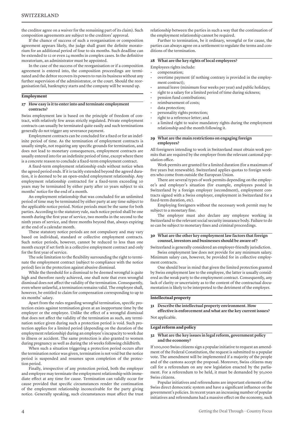the creditor agree on a waiver for the remaining part of its claim). Such composition agreements are subject to the creditors' approval.

If the chance of success of such a reorganisation or composition agreement appears likely, the judge shall grant the definite moratorium for an additional period of four to six months. Such deadline can be extended to 12 or even 24 months in complex cases. In the definitive moratorium, an administrator must be appointed.

In the case of the success of the reorganisation or if a composition agreement is entered into, the composition proceedings are terminated and the debtor recovers its powers to run its business without any further supervision of the administrator, or the court. Should the reorganisation fail, bankruptcy starts and the company will be wound up.

#### **Employment**

#### **27 How easy is it to enter into and terminate employment contracts?**

Swiss employment law is based on the principle of freedom of contract, with relatively few areas strictly regulated. Private employment contracts can usually be terminated quite easily and such terminations generally do not trigger any severance payment.

Employment contracts can be concluded for a fixed or for an indefinite period of time. As the termination of employment contracts is usually simple, not requiring any specific grounds for termination, and does not lead to monetary consequences, employment contracts are usually entered into for an indefinite period of time, except where there is a concrete reason to conclude a fixed-term employment contract.

A fixed-term employment relationship ends without notice when the agreed period ends. If it is tacitly extended beyond the agreed duration, it is deemed to be an open-ended employment relationship. Any employment relationship contracted for a fixed-term exceeding 10 years may be terminated by either party after 10 years subject to six months' notice for the end of a month.

An employment relationship that was concluded for an unlimited period of time may be terminated by either party at any time subject to the applicable notice period. Notice periods must be the same for both parties. According to the statutory rule, such notice period shall be one month during the first year of service, two months in the second to the ninth years of service, and three months beyond that, always expiring at the end of a calendar month.

These statutory notice periods are not compulsory and may vary based on individual, standard or collective employment contracts. Such notice periods, however, cannot be reduced to less than one month except if set forth in a collective employment contract and only for the first year of service.

The sole limitation to the flexibility surrounding the right to terminate the employment contract (subject to compliance with the notice period) lies in the protection against abusive dismissal.

While the threshold for a dismissal to be deemed wrongful is quite high and therefore rarely achieved, one shall note that even wrongful dismissal does not affect the validity of the termination. Consequently, even where unlawful, a termination remains valid. The employee shall, however, be entitled to claim for compensation corresponding to up to six months' salary.

Apart from the rules regarding wrongful termination, specific protection exists against termination given at an inopportune time by the employer or the employee. Unlike the effect of a wrongful dismissal that does not affect the validity of the termination as such, any termination notice given during such a protection period is void. Such protection applies for a limited period (depending on the duration of the employment relationship) during an employee's incapacity to work due to illness or accident. The same protection is also granted to women during pregnancy as well as during the 16 weeks following childbirth.

When such a situation triggering a protection period occurs after the termination notice was given, termination is not void but the notice period is suspended and resumes upon completion of the protection period.

Finally, irrespective of any protection period, both the employer and employee may terminate the employment relationship with immediate effect at any time for cause. Termination can validly occur for cause provided that specific circumstances render the continuation of the employment relationship inconceivable for the party giving notice. Generally speaking, such circumstances must affect the trust

relationship between the parties in such a way that the continuation of the employment relationship cannot be required.

Further to termination, be it ordinary, wrongful or for cause, the parties can always agree on a settlement to regulate the terms and conditions of the termination.

#### **28 What are the key rights of local employees?**

Employees rights include:

- compensation;
- overtime payment (if nothing contrary is provided in the employment contract);
- annual leave (minimum four weeks per year) and public holidays;
- right to a salary for a limited period of time during sickness;
- pension fund contributions;
- reimbursement of costs;
- data protection;
- personality rights protection;
- right to a reference letter; and
- a limited right to waive mandatory rights during the employment relationship and the month following it.

#### **29 What are the main restrictions on engaging foreign employees?**

All foreigners intending to work in Switzerland must obtain work permits that are required by the employer from the relevant cantonal population office.

Work permits are granted for a limited duration (for a maximum of five years but renewable). Switzerland applies quotas to foreign workers who come from outside the European Union.

There are several types of work permits depending on the employee's and employer's situation (for example, employees posted in Switzerland by a foreign employer (secondment), employment contracts signed with a Swiss employer, employment in Switzerland for a fixed-term duration, etc).

Employing foreigners without the necessary work permit may be subject to a monetary fine.

The employer must also declare any employee working in Switzerland to the relevant social security insurance body. Failure to do so can be subject to monetary fines and criminal proceedings.

#### **30 What are the other key employment law factors that foreign counsel, investors and businesses should be aware of ?**

Switzerland is generally considered an employer-friendly jurisdiction.

Swiss employment law does not provide for any minimum salary. Minimum salary can, however, be provided for in collective employment contracts.

One should bear in mind that given the limited protection granted by Swiss employment law to the employee, the latter is usually considered as the weak party to the employment contract. Consequently, any lack of clarity or uncertainty as to the content of the contractual documentation is likely to be interpreted to the detriment of the employer.

#### **Intellectual property**

#### **31 Describe the intellectual property environment. How effective is enforcement and what are the key current issues?**

Not applicable.

#### **Legal reform and policy**

#### **32 What are the key issues in legal reform, government policy and the economy?**

If 100,000 Swiss citizens sign a popular initiative to request an amendment of the Federal Constitution, the request is submitted to a popular vote. The amendment will be implemented if a majority of the people and of the cantons accept the proposal. Moreover, Swiss citizens may call for a referendum on any new legislation enacted by the parliament. For a referendum to be held, it must be demanded by 50,000 Swiss citizens.

Popular initiatives and referendums are important elements of the Swiss direct democratic system and have a significant influence on the government's policies. In recent years an increasing number of popular initiatives and referendums had a massive effect on the economy, such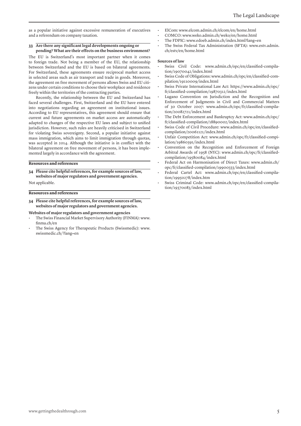as a popular initiative against excessive remuneration of executives and a referendum on company taxation.

#### **33 Are there any significant legal developments ongoing or pending? What are their effects on the business environment?**

The EU is Switzerland's most important partner when it comes to foreign trade. Not being a member of the EU, the relationship between Switzerland and the EU is based on bilateral agreements. For Switzerland, these agreements ensure reciprocal market access in selected areas such as air transport and trade in goods. Moreover, the agreement on free movement of persons allows Swiss and EU citizens under certain conditions to choose their workplace and residence freely within the territories of the contracting parties.

Recently, the relationship between the EU and Switzerland has faced several challenges. First, Switzerland and the EU have entered into negotiations regarding an agreement on institutional issues. According to EU representatives, this agreement should ensure that current and future agreements on market access are automatically adapted to changes of the respective EU laws and subject to unified jurisdiction. However, such rules are heavily criticised in Switzerland for violating Swiss sovereignty. Second, a popular initiative against mass immigration, which aims to limit immigration through quotas, was accepted in 2014. Although the initiative is in conflict with the bilateral agreement on free movement of persons, it has been implemented largely in accordance with the agreement.

#### **Resources and references**

**34 Please cite helpful references, for example sources of law, websites of major regulators and government agencies.**

Not applicable.

#### **Resources and references**

- **34 Please cite helpful references, for example sources of law, websites of major regulators and government agencies.**
- **Websites of major regulators and government agencies**
- The Swiss Financial Market Supervisory Authority (FINMA): www. finma.ch/en
- The Swiss Agency for Therapeutic Products (Swissmedic): www. swissmedic.ch/?lang=en
- ElCom: www.elcom.admin.ch/elcom/en/home.html
- COMCO: www.weko.admin.ch/weko/en/home.html
- The FDPIC: www.edoeb.admin.ch/index.html?lang=en
- The Swiss Federal Tax Administration (SFTA): www.estv.admin. ch/estv/en/home.html

#### **Sources of law**

- Swiss Civil Code: www.admin.ch/opc/en/classified-compilation/19070042/index.html
- Swiss Code of Obligations: www.admin.ch/opc/en/classified-compilation/19110009/index.html
- Swiss Private International Law Act: https://www.admin.ch/opc/ fr/classified-compilation/19870312/index.html
- Lugano Convention on Jurisdiction and the Recognition and Enforcement of Judgments in Civil and Commercial Matters of 30 October 2007: www.admin.ch/opc/fr/classified-compilation/20082721/index.html
- The Debt Enforcement and Bankruptcy Act: www.admin.ch/opc/ fr/classified-compilation/18890002/index.html
- Swiss Code of Civil Procedure: www.admin.ch/opc/en/classifiedcompilation/20061121/index.html
- Unfair Competition Act: www.admin.ch/opc/fr/classified-compilation/19860391/index.html
- Convention on the Recognition and Enforcement of Foreign Arbitral Awards of 1958 (NYC): www.admin.ch/opc/fr/classifiedcompilation/19580084/index.html
- Federal Act on Harmonisation of Direct Taxes: www.admin.ch/ opc/fr/classified-compilation/19900333/index.html
- Federal Cartel Act: www.admin.ch/opc/en/classified-compilation/19950278/index.htm
- Swiss Criminal Code: www.admin.ch/opc/en/classified-compilation/19370083/index.html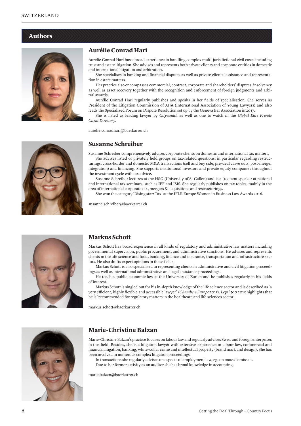#### **Authors**



#### **Aurélie Conrad Hari**

Aurélie Conrad Hari has a broad experience in handling complex multi-jurisdictional civil cases including trust and estate litigation. She advises and represents both private clients and corporate entities in domestic and international litigation and arbitration.

She specialises in banking and financial disputes as well as private clients' assistance and representation in estate matters.

Her practice also encompasses commercial, contract, corporate and shareholders' disputes, insolvency as well as asset recovery together with the recognition and enforcement of foreign judgments and arbitral awards.

Aurélie Conrad Hari regularly publishes and speaks in her fields of specialisation. She serves as President of the Litigation Commission of AIJA (International Association of Young Lawyers) and also leads the Specialized Forum on Dispute Resolution set up by the Geneva Bar Association in 2017.

She is listed as leading lawyer by *Citywealth* as well as one to watch in the *Global Elite Private Client Directory*.

aurelie.conradhari@baerkarrer.ch

#### **Susanne Schreiber**

Susanne Schreiber comprehensively advises corporate clients on domestic and international tax matters.

She advises listed or privately held groups on tax-related questions, in particular regarding restructurings, cross-border and domestic M&A transactions (sell and buy side, pre-deal carve outs, post-merger integration) and financing. She supports institutional investors and private equity companies throughout the investment cycle with tax advice.

Susanne Schreiber lectures at the HSG (University of St Gallen) and is a frequent speaker at national and international tax seminars, such as IFF and ISIS. She regularly publishes on tax topics, mainly in the area of international corporate tax, mergers & acquisitions and restructurings.

She won the category 'Rising star: Tax' at the IFLR Europe Women in Business Law Awards 2016.

susanne.schreiber@baerkarrer.ch



#### **Markus Schott**

Markus Schott has broad experience in all kinds of regulatory and administrative law matters including governmental supervision, public procurement, and administrative sanctions. He advises and represents clients in the life science and food, banking, finance and insurance, transportation and infrastructure sectors. He also drafts expert opinions in these fields.

Markus Schott is also specialised in representing clients in administrative and civil litigation proceedings as well as international administrative and legal assistance proceedings.

He teaches public economic law at the University of Zurich and he publishes regularly in his fields of interest.

Markus Schott is singled out for his in-depth knowledge of the life science sector and is described as 'a very efficient, highly flexible and accessible lawyer' (*Chambers Europe* 2015). *Legal 500* 2015 highlights that he is 'recommended for regulatory matters in the healthcare and life sciences sector'.

markus.schott@baerkarrer.ch



#### **Marie-Christine Balzan**

Marie-Christine Balzan's practice focuses on labour law and regularly advises Swiss and foreign enterprises in this field. Besides, she is a litigation lawyer with extensive experience in labour law, commercial and financial litigation, banking, white-collar crime and intellectual property (brand mark and design). She has been involved in numerous complex litigation proceedings.

In transactions she regularly advises on aspects of employment law, eg, on mass dismissals. Due to her former activity as an auditor she has broad knowledge in accounting.

marie.balzan@baerkarrer.ch